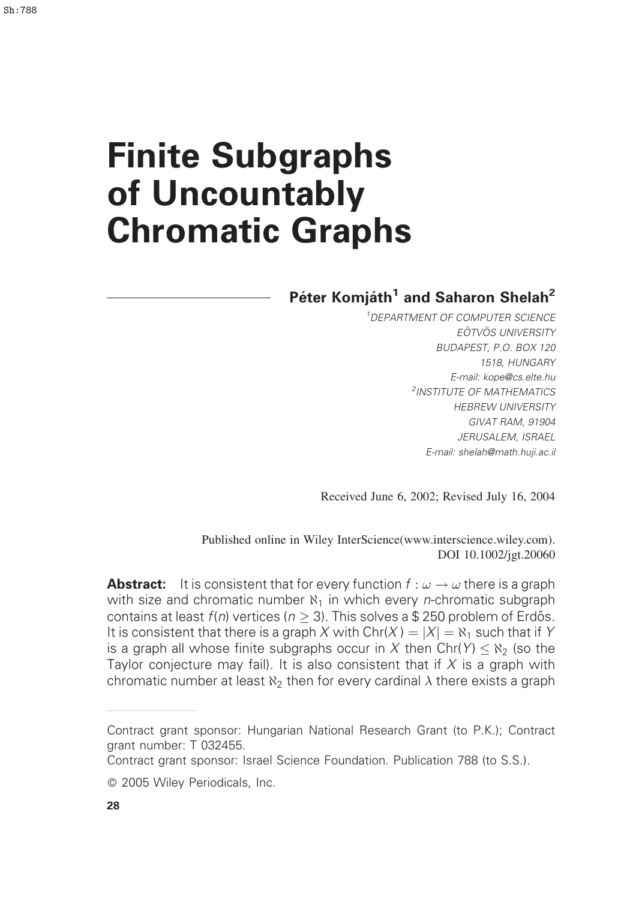# Finite Subgraphs of Uncountably Chromatic Graphs

# Péter Komjáth<sup>1</sup> and Saharon Shelah<sup>2</sup>

<sup>1</sup>DEPARTMENT OF COMPUTER SCIENCE EÖTVÖS UNIVERSITY BUDAPEST, P.O. BOX 120 1518, HUNGARY E-mail: kope@cs.elte.hu <sup>2</sup>INSTITUTE OF MATHEMATICS HEBREW UNIVERSITY GIVAT RAM, 91904 JERUSALEM, ISRAEL E-mail: shelah@math.huji.ac.il

Received June 6, 2002; Revised July 16, 2004

Published online in Wiley InterScience(www.interscience.wiley.com). DOI 10.1002/jgt.20060

**Abstract:** It is consistent that for every function  $f: \omega \to \omega$  there is a graph with size and chromatic number  $\aleph_1$  in which every *n*-chromatic subgraph contains at least  $f(n)$  vertices ( $n \geq 3$ ). This solves a \$ 250 problem of Erdős. It is consistent that there is a graph X with  $\text{Chr}(X) = |X| = \aleph_1$  such that if Y is a graph all whose finite subgraphs occur in  $X$  then Chr(Y)  $\leq$  N<sub>2</sub> (so the Taylor conjecture may fail). It is also consistent that if  $X$  is a graph with chromatic number at least  $\aleph_2$  then for every cardinal  $\lambda$  there exists a graph

——————————————————

Contract grant sponsor: Hungarian National Research Grant (to P.K.); Contract grant number: T 032455.

Contract grant sponsor: Israel Science Foundation. Publication 788 (to S.S.).

2005 Wiley Periodicals, Inc.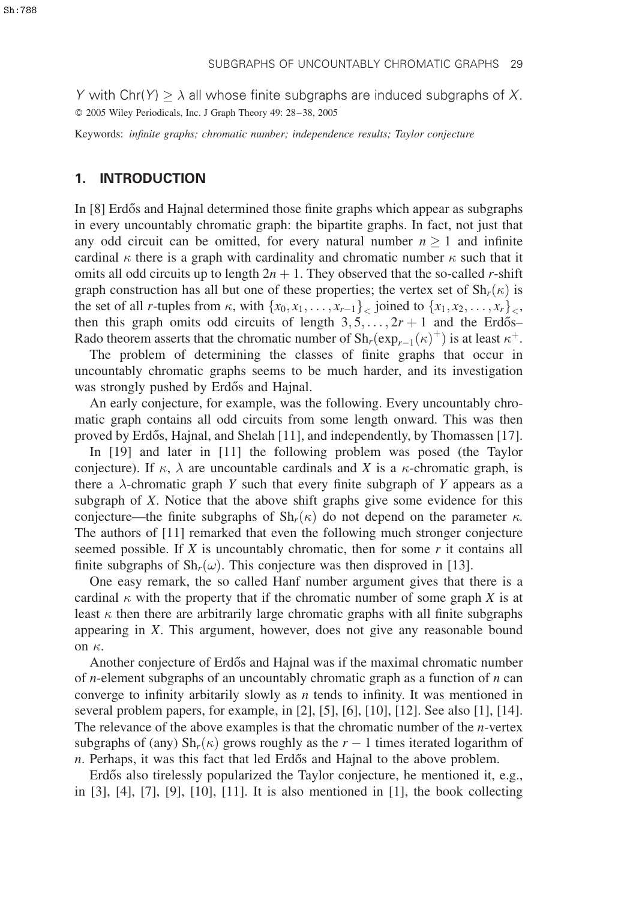Y with Chr(Y)  $\geq \lambda$  all whose finite subgraphs are induced subgraphs of X. 2005 Wiley Periodicals, Inc. J Graph Theory 49: 28–38, 2005

Keywords: infinite graphs; chromatic number; independence results; Taylor conjecture

#### 1. INTRODUCTION

In [8] Erdős and Hajnal determined those finite graphs which appear as subgraphs in every uncountably chromatic graph: the bipartite graphs. In fact, not just that any odd circuit can be omitted, for every natural number  $n \geq 1$  and infinite cardinal  $\kappa$  there is a graph with cardinality and chromatic number  $\kappa$  such that it omits all odd circuits up to length  $2n + 1$ . They observed that the so-called r-shift graph construction has all but one of these properties; the vertex set of  $\text{Sh}_{r}(\kappa)$  is the set of all *r*-tuples from  $\kappa$ , with  $\{x_0, x_1, \ldots, x_{r-1}\}$ , joined to  $\{x_1, x_2, \ldots, x_r\}$ , then this graph omits odd circuits of length  $3, 5, \ldots, 2r + 1$  and the Erdős– Rado theorem asserts that the chromatic number of  $\mathrm{Sh}_r(\exp_{r-1}(\kappa)^+)$  is at least  $\kappa^+$ .

The problem of determining the classes of finite graphs that occur in uncountably chromatic graphs seems to be much harder, and its investigation was strongly pushed by Erdős and Hajnal.

An early conjecture, for example, was the following. Every uncountably chromatic graph contains all odd circuits from some length onward. This was then proved by Erdős, Hajnal, and Shelah  $[11]$ , and independently, by Thomassen  $[17]$ .

In [19] and later in [11] the following problem was posed (the Taylor conjecture). If  $\kappa$ ,  $\lambda$  are uncountable cardinals and X is a  $\kappa$ -chromatic graph, is there a  $\lambda$ -chromatic graph Y such that every finite subgraph of Y appears as a subgraph of X. Notice that the above shift graphs give some evidence for this conjecture—the finite subgraphs of  $\mathrm{Sh}_r(\kappa)$  do not depend on the parameter  $\kappa$ . The authors of [11] remarked that even the following much stronger conjecture seemed possible. If  $X$  is uncountably chromatic, then for some  $r$  it contains all finite subgraphs of  $\mathrm{Sh}_r(\omega)$ . This conjecture was then disproved in [13].

One easy remark, the so called Hanf number argument gives that there is a cardinal  $\kappa$  with the property that if the chromatic number of some graph X is at least  $\kappa$  then there are arbitrarily large chromatic graphs with all finite subgraphs appearing in X. This argument, however, does not give any reasonable bound on  $\kappa$ .

Another conjecture of Erdős and Hajnal was if the maximal chromatic number of *n*-element subgraphs of an uncountably chromatic graph as a function of  $n$  can converge to infinity arbitarily slowly as  $n$  tends to infinity. It was mentioned in several problem papers, for example, in [2], [5], [6], [10], [12]. See also [1], [14]. The relevance of the above examples is that the chromatic number of the  $n$ -vertex subgraphs of (any)  $\mathrm{Sh}_r(\kappa)$  grows roughly as the  $r-1$  times iterated logarithm of n. Perhaps, it was this fact that led Erdős and Hajnal to the above problem.

Erdős also tirelessly popularized the Taylor conjecture, he mentioned it, e.g., in [3], [4], [7], [9], [10], [11]. It is also mentioned in [1], the book collecting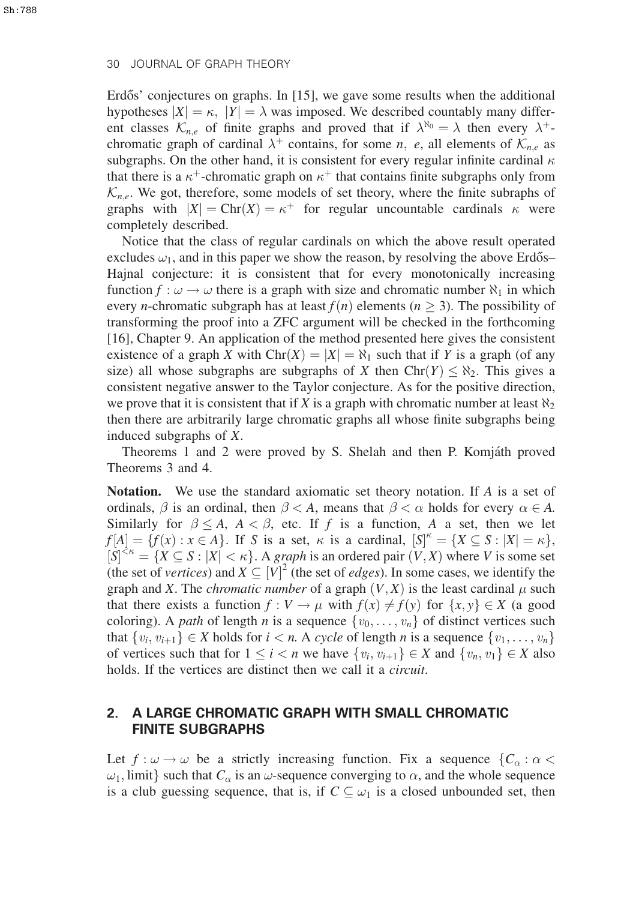Erd $\tilde{\sigma}$ s' conjectures on graphs. In [15], we gave some results when the additional hypotheses  $|X| = \kappa$ ,  $|Y| = \lambda$  was imposed. We described countably many different classes  $\mathcal{K}_{n,e}$  of finite graphs and proved that if  $\lambda^{\aleph_0} = \lambda$  then every  $\lambda^+$ chromatic graph of cardinal  $\lambda^+$  contains, for some n, e, all elements of  $\mathcal{K}_{n,e}$  as subgraphs. On the other hand, it is consistent for every regular infinite cardinal  $\kappa$ that there is a  $\kappa^+$ -chromatic graph on  $\kappa^+$  that contains finite subgraphs only from  $\mathcal{K}_{n,e}$ . We got, therefore, some models of set theory, where the finite subraphs of graphs with  $|X| = \text{Chr}(X) = \kappa^+$  for regular uncountable cardinals  $\kappa$  were completely described.

Notice that the class of regular cardinals on which the above result operated excludes  $\omega_1$ , and in this paper we show the reason, by resolving the above Erdős– Hajnal conjecture: it is consistent that for every monotonically increasing function  $f : \omega \to \omega$  there is a graph with size and chromatic number  $\aleph_1$  in which every *n*-chromatic subgraph has at least  $f(n)$  elements ( $n \geq 3$ ). The possibility of transforming the proof into a ZFC argument will be checked in the forthcoming [16], Chapter 9. An application of the method presented here gives the consistent existence of a graph X with  $\text{Chr}(X) = |X| = \aleph_1$  such that if Y is a graph (of any size) all whose subgraphs are subgraphs of X then  $\text{Chr}(Y) \leq \aleph_2$ . This gives a consistent negative answer to the Taylor conjecture. As for the positive direction, we prove that it is consistent that if X is a graph with chromatic number at least  $\aleph_2$ then there are arbitrarily large chromatic graphs all whose finite subgraphs being induced subgraphs of X.

Theorems 1 and 2 were proved by S. Shelah and then P. Komjáth proved Theorems 3 and 4.

**Notation.** We use the standard axiomatic set theory notation. If A is a set of ordinals,  $\beta$  is an ordinal, then  $\beta < A$ , means that  $\beta < \alpha$  holds for every  $\alpha \in A$ . Similarly for  $\beta \le A$ ,  $A < \beta$ , etc. If f is a function, A a set, then we let  $f[A] = \{f(x) : x \in A\}.$  If S is a set,  $\kappa$  is a cardinal,  $[S]^{\kappa} = \{X \subseteq S : |X| = \kappa\}.$  $[S]^{\leq \kappa} = \{X \subseteq S : |X| < \kappa\}$ . A graph is an ordered pair  $(V, X)$  where V is some set (the set of vertices) and  $X \subseteq [V]^2$  (the set of *edges*). In some cases, we identify the graph and X. The *chromatic number* of a graph  $(V, X)$  is the least cardinal  $\mu$  such that there exists a function  $f: V \to \mu$  with  $f(x) \neq f(y)$  for  $\{x, y\} \in X$  (a good coloring). A path of length n is a sequence  $\{v_0, \ldots, v_n\}$  of distinct vertices such that  $\{v_i, v_{i+1}\} \in X$  holds for  $i < n$ . A cycle of length n is a sequence  $\{v_1, \ldots, v_n\}$ of vertices such that for  $1 \le i < n$  we have  $\{v_i, v_{i+1}\} \in X$  and  $\{v_n, v_1\} \in X$  also holds. If the vertices are distinct then we call it a *circuit*.

## 2. A LARGE CHROMATIC GRAPH WITH SMALL CHROMATIC FINITE SUBGRAPHS

Let  $f : \omega \to \omega$  be a strictly increasing function. Fix a sequence  $\{C_\alpha : \alpha <$  $\omega_1$ , limit} such that  $C_\alpha$  is an  $\omega$ -sequence converging to  $\alpha$ , and the whole sequence is a club guessing sequence, that is, if  $C \subseteq \omega_1$  is a closed unbounded set, then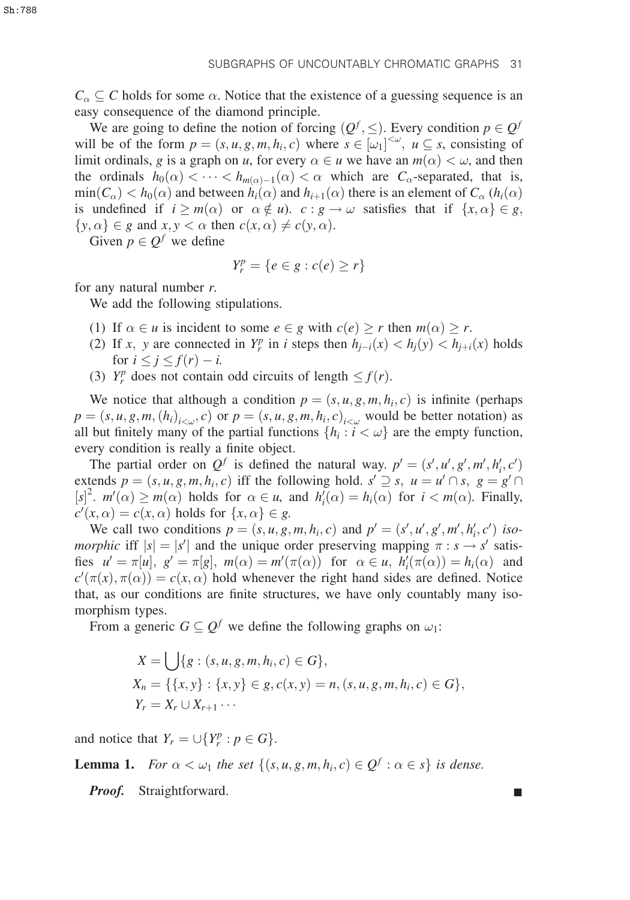$C_{\alpha} \subseteq C$  holds for some  $\alpha$ . Notice that the existence of a guessing sequence is an easy consequence of the diamond principle.

We are going to define the notion of forcing  $(Q^f, \leq)$ . Every condition  $p \in Q^f$ will be of the form  $p = (s, u, g, m, h_i, c)$  where  $s \in [\omega_1]^{< \omega}$ ,  $u \subseteq s$ , consisting of limit ordinals, g is a graph on u, for every  $\alpha \in u$  we have an  $m(\alpha) < \omega$ , and then the ordinals  $h_0(\alpha) < \cdots < h_{m(\alpha)-1}(\alpha) < \alpha$  which are  $C_\alpha$ -separated, that is,  $\min(C_\alpha) < h_0(\alpha)$  and between  $h_i(\alpha)$  and  $h_{i+1}(\alpha)$  there is an element of  $C_\alpha$  ( $h_i(\alpha)$ ) is undefined if  $i \geq m(\alpha)$  or  $\alpha \notin u$ ).  $c : g \to \omega$  satisfies that if  $\{x, \alpha\} \in g$ ,  $\{y, \alpha\} \in g$  and  $x, y < \alpha$  then  $c(x, \alpha) \neq c(y, \alpha)$ .

Given  $p \in Q^f$  we define

$$
Y_r^p = \{e \in g : c(e) \ge r\}
$$

for any natural number  $r$ .

We add the following stipulations.

- (1) If  $\alpha \in u$  is incident to some  $e \in g$  with  $c(e) \geq r$  then  $m(\alpha) \geq r$ .
- (2) If x, y are connected in  $Y_r^p$  in i steps then  $h_{j-i}(x) < h_j(y) < h_{j+i}(x)$  holds for  $i \leq j \leq f(r) - i$ .
- (3)  $Y_r^p$  does not contain odd circuits of length  $\leq f(r)$ .

We notice that although a condition  $p = (s, u, g, m, h_i, c)$  is infinite (perhaps  $p = (s, u, g, m, (h_i)_{i \leq u}, c)$  or  $p = (s, u, g, m, h_i, c)_{i \leq u}$  would be better notation) as all but finitely many of the partial functions  $\{h_i : i < \omega\}$  are the empty function, every condition is really a finite object.

The partial order on  $Q^f$  is defined the natural way.  $p' = (s', u', g', m', h'_i, c')$ extends  $p = (s, u, g, m, h_i, c)$  iff the following hold.  $s' \supseteq s$ ,  $u = u' \cap s$ ,  $g = g' \cap s$  $[s]^2$ .  $m'(\alpha) \ge m(\alpha)$  holds for  $\alpha \in u$ , and  $h'_i(\alpha) = h_i(\alpha)$  for  $i < m(\alpha)$ . Finally,  $c'(x, \alpha) = c(x, \alpha)$  holds for  $\{x, \alpha\} \in g$ .

We call two conditions  $p = (s, u, g, m, h_i, c)$  and  $p' = (s', u', g', m', h'_i, c')$  isomorphic iff  $|s| = |s'|$  and the unique order preserving mapping  $\pi : s \to s'$  satisfies  $u' = \pi[u]$ ,  $g' = \pi[g]$ ,  $m(\alpha) = m'(\pi(\alpha))$  for  $\alpha \in u$ ,  $h'_i(\pi(\alpha)) = h_i(\alpha)$  and  $c'(\pi(x), \pi(\alpha)) = c(x, \alpha)$  hold whenever the right hand sides are defined. Notice that, as our conditions are finite structures, we have only countably many isomorphism types.

From a generic  $G \subseteq Q^f$  we define the following graphs on  $\omega_1$ :

$$
X = \bigcup \{ g : (s, u, g, m, h_i, c) \in G \},
$$
  
\n
$$
X_n = \{ \{x, y\} : \{x, y\} \in g, c(x, y) = n, (s, u, g, m, h_i, c) \in G \},
$$
  
\n
$$
Y_r = X_r \cup X_{r+1} \cdots
$$

and notice that  $Y_r = \bigcup \{Y_r^p : p \in G\}.$ 

**Lemma 1.** For  $\alpha < \omega_1$  the set  $\{(s, u, g, m, h_i, c) \in Q^f : \alpha \in s\}$  is dense.

Proof. Straightforward.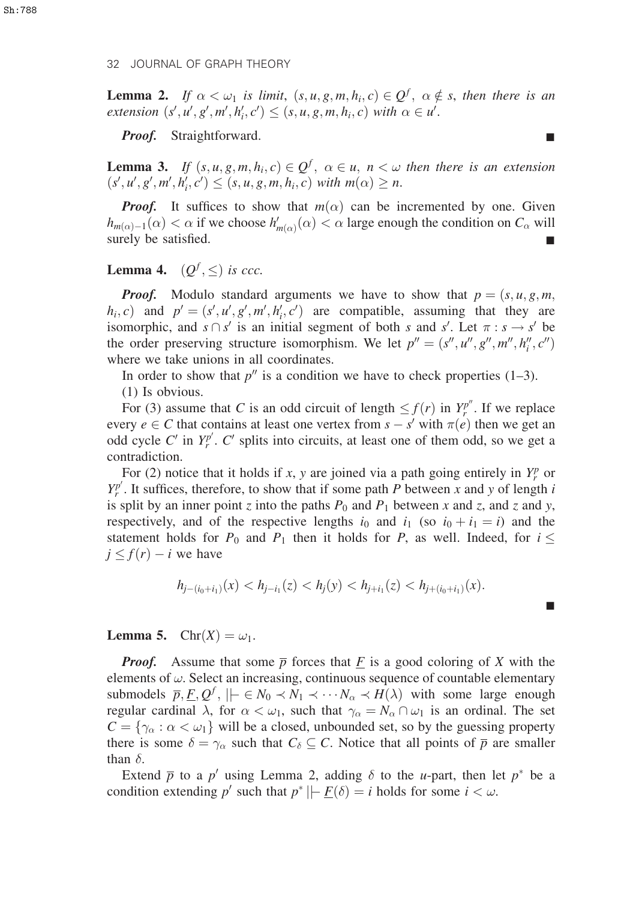**Lemma 2.** If  $\alpha < \omega_1$  is limit,  $(s, u, g, m, h_i, c) \in Q^f$ ,  $\alpha \notin s$ , then there is an  $extension(s', u', g', m', h'_i, c') \leq (s, u, g, m, h_i, c) with \alpha \in u'.$ 

*Proof.* Straightforward.

**Lemma 3.** If  $(s, u, g, m, h_i, c) \in Q^f$ ,  $\alpha \in u$ ,  $n < \omega$  then there is an extension  $(s', u', g', m', h'_i, c') \leq (s, u, g, m, h_i, c)$  with  $m(\alpha) \geq n$ .

**Proof.** It suffices to show that  $m(\alpha)$  can be incremented by one. Given  $h_{m(\alpha)-1}(\alpha) < \alpha$  if we choose  $h'_{m(\alpha)}(\alpha) < \alpha$  large enough the condition on  $C_{\alpha}$  will surely be satisfied.

**Lemma 4.**  $(Q^f, \leq)$  is ccc.

**Proof.** Modulo standard arguments we have to show that  $p = (s, u, g, m, g, m)$  $h_i, c$ ) and  $p' = (s', u', g', m', h'_i, c')$  are compatible, assuming that they are isomorphic, and  $s \cap s'$  is an initial segment of both s and s'. Let  $\pi : s \to s'$  be the order preserving structure isomorphism. We let  $p'' = (s'', u'', g'', m'', h''_i, c'')$ where we take unions in all coordinates.

In order to show that  $p''$  is a condition we have to check properties (1–3).

(1) Is obvious.

For (3) assume that C is an odd circuit of length  $\leq f(r)$  in  $Y_r^{p^m}$ . If we replace every  $e \in C$  that contains at least one vertex from  $s - s'$  with  $\pi(e)$  then we get an odd cycle C' in  $Y_r^{p'}$ . C' splits into circuits, at least one of them odd, so we get a contradiction.

For (2) notice that it holds if x, y are joined via a path going entirely in  $Y_r^p$  or  $Y_r^{p'}$ . It suffices, therefore, to show that if some path P between x and y of length i is split by an inner point z into the paths  $P_0$  and  $P_1$  between x and z, and z and y, respectively, and of the respective lengths  $i_0$  and  $i_1$  (so  $i_0 + i_1 = i$ ) and the statement holds for  $P_0$  and  $P_1$  then it holds for P, as well. Indeed, for  $i \leq$  $j \leq f(r) - i$  we have

$$
h_{j-(i_0+i_1)}(x) < h_{j-i_1}(z) < h_j(y) < h_{j+i_1}(z) < h_{j+(i_0+i_1)}(x).
$$

**Lemma 5.**  $\text{Chr}(X) = \omega_1$ .

**Proof.** Assume that some  $\overline{p}$  forces that F is a good coloring of X with the elements of  $\omega$ . Select an increasing, continuous sequence of countable elementary submodels  $\overline{p}, \underline{F}, Q^f, \|\}\in N_0 \prec N_1 \prec \cdots N_\alpha \prec H(\lambda)$  with some large enough regular cardinal  $\lambda$ , for  $\alpha < \omega_1$ , such that  $\gamma_\alpha = N_\alpha \cap \omega_1$  is an ordinal. The set  $C = \{ \gamma_\alpha : \alpha < \omega_1 \}$  will be a closed, unbounded set, so by the guessing property there is some  $\delta = \gamma_\alpha$  such that  $C_\delta \subseteq C$ . Notice that all points of  $\overline{p}$  are smaller than  $\delta$ .

Extend  $\bar{p}$  to a p' using Lemma 2, adding  $\delta$  to the u-part, then let p<sup>\*</sup> be a condition extending p' such that  $p^*$  ||-  $\underline{F}(\delta) = i$  holds for some  $i < \omega$ .

&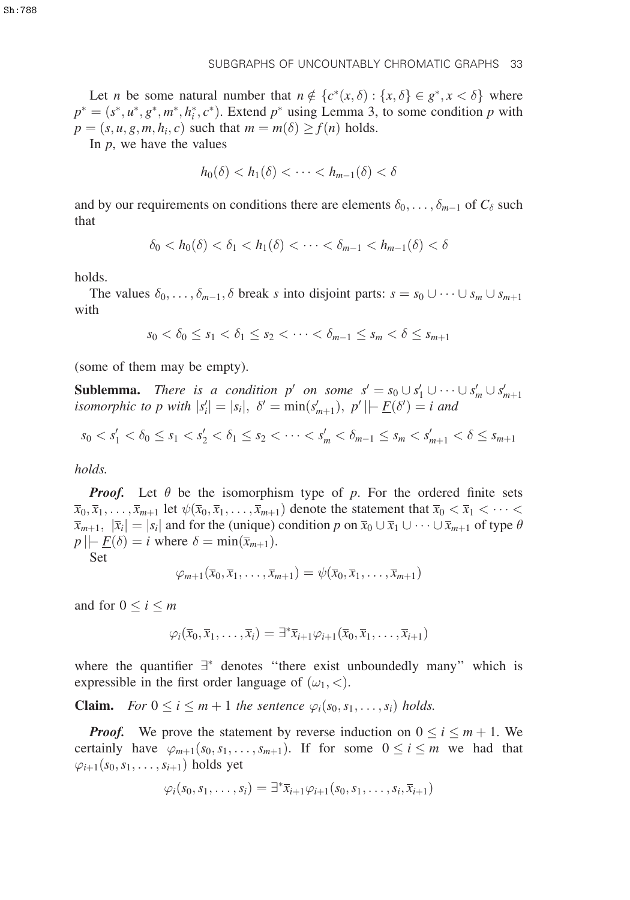Let *n* be some natural number that  $n \notin \{c^*(x, \delta) : \{x, \delta\} \in g^*, x < \delta\}$  where  $p^* = (s^*, u^*, g^*, m^*, h_i^*, c^*)$ . Extend  $p^*$  using Lemma 3, to some condition p with  $p = (s, u, g, m, h_i, c)$  such that  $m = m(\delta) \ge f(n)$  holds.

SUBGRAPHS OF UNCOUNTABLY CHROMATIC GRAPHS 33

In  $p$ , we have the values

$$
h_0(\delta) < h_1(\delta) < \cdots < h_{m-1}(\delta) < \delta
$$

and by our requirements on conditions there are elements  $\delta_0, \ldots, \delta_{m-1}$  of  $C_{\delta}$  such that

$$
\delta_0 < h_0(\delta) < \delta_1 < h_1(\delta) < \cdots < \delta_{m-1} < h_{m-1}(\delta) < \delta
$$

holds.

The values  $\delta_0, \ldots, \delta_{m-1}, \delta$  break s into disjoint parts:  $s = s_0 \cup \cdots \cup s_m \cup s_{m+1}$ with

$$
s_0 < \delta_0 \le s_1 < \delta_1 \le s_2 < \cdots < \delta_{m-1} \le s_m < \delta \le s_{m+1}
$$

(some of them may be empty).

**Sublemma.** There is a condition p' on some  $s' = s_0 \cup s_1' \cup \cdots \cup s_m' \cup s_{m+1}'$ isomorphic to p with  $|s'_i| = |s_i|$ ,  $\delta' = \min(s'_{m+1})$ ,  $p' \mid \mid \mid E(\delta') = i$  and

$$
s_0 < s_1' < \delta_0 \le s_1 < s_2' < \delta_1 \le s_2 < \cdots < s_m' < \delta_{m-1} \le s_m < s_{m+1}' < \delta \le s_{m+1}
$$

holds.

**Proof.** Let  $\theta$  be the isomorphism type of p. For the ordered finite sets  $\overline{x}_0, \overline{x}_1, \ldots, \overline{x}_{m+1}$  let  $\psi(\overline{x}_0, \overline{x}_1, \ldots, \overline{x}_{m+1})$  denote the statement that  $\overline{x}_0 < \overline{x}_1 < \cdots <$  $\overline{x}_{m+1}, \overline{|x}_i|=|s_i|$  and for the (unique) condition p on  $\overline{x}_0 \cup \overline{x}_1 \cup \cdots \cup \overline{x}_{m+1}$  of type  $\theta$  $p \mid F(\delta) = i$  where  $\delta = \min(\overline{x}_{m+1})$ .

Set

$$
\varphi_{m+1}(\overline{x}_0,\overline{x}_1,\ldots,\overline{x}_{m+1})=\psi(\overline{x}_0,\overline{x}_1,\ldots,\overline{x}_{m+1})
$$

and for  $0 \le i \le m$ 

$$
\varphi_i(\overline{x}_0,\overline{x}_1,\ldots,\overline{x}_i)=\exists^*\overline{x}_{i+1}\varphi_{i+1}(\overline{x}_0,\overline{x}_1,\ldots,\overline{x}_{i+1})
$$

where the quantifier  $\exists^*$  denotes "there exist unboundedly many" which is expressible in the first order language of  $(\omega_1, <)$ .

**Claim.** For  $0 \le i \le m+1$  the sentence  $\varphi_i(s_0, s_1, \ldots, s_i)$  holds.

**Proof.** We prove the statement by reverse induction on  $0 \le i \le m + 1$ . We certainly have  $\varphi_{m+1}(s_0, s_1, \ldots, s_{m+1})$ . If for some  $0 \le i \le m$  we had that  $\varphi_{i+1}(s_0,s_1,\ldots,s_{i+1})$  holds yet

$$
\varphi_i(s_0, s_1, \ldots, s_i) = \exists^* \overline{x}_{i+1} \varphi_{i+1}(s_0, s_1, \ldots, s_i, \overline{x}_{i+1})
$$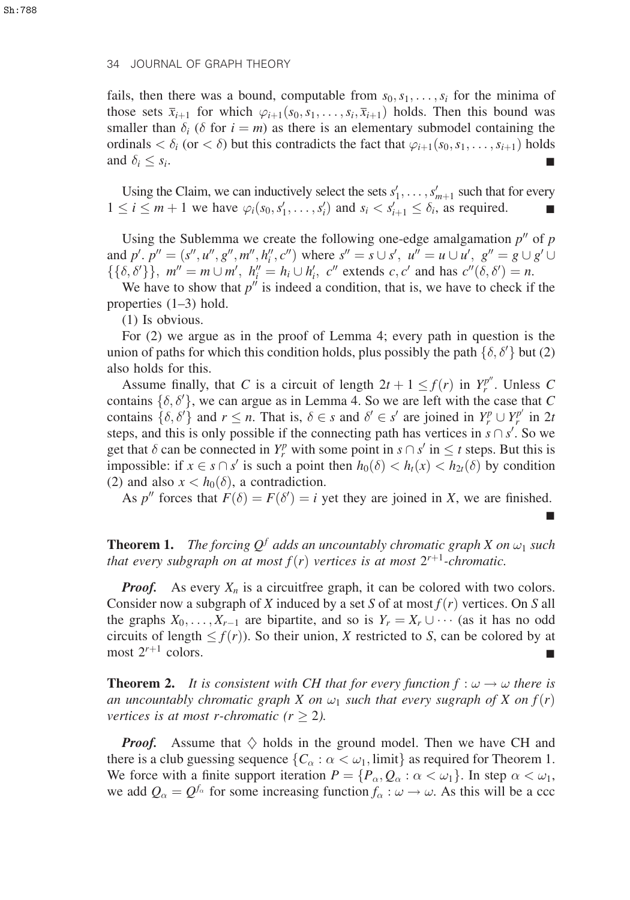fails, then there was a bound, computable from  $s_0, s_1, \ldots, s_i$  for the minima of those sets  $\overline{x}_{i+1}$  for which  $\varphi_{i+1}(s_0, s_1, \ldots, s_i, \overline{x}_{i+1})$  holds. Then this bound was smaller than  $\delta_i$  ( $\delta$  for  $i = m$ ) as there is an elementary submodel containing the ordinals  $\langle \delta_i$  (or  $\langle \delta \rangle$ ) but this contradicts the fact that  $\varphi_{i+1}(s_0,s_1,\ldots,s_{i+1})$  holds and  $\delta_i \leq s_i$ .  $\leq s_i$ .

Using the Claim, we can inductively select the sets  $s'_1, \ldots, s'_{m+1}$  such that for every  $1 \le i \le m+1$  we have  $\varphi_i(s_0, s'_1, \ldots, s'_i)$  and  $s_i < s'_{i+1} \le \delta_i$ , as required.

Using the Sublemma we create the following one-edge amalgamation  $p''$  of p and  $p'$ ,  $p'' = (s'', u'', g'', m'', h''_i, c'')$  where  $s'' = s \cup s'$ ,  $u'' = u \cup u'$ ,  $g'' = g \cup g' \cup$  $\{\{\delta, \delta'\}\}\,$ ,  $m'' = m \cup m'$ ,  $h_i'' = h_i \cup h_i'$ ,  $c''$  extends  $c, c'$  and has  $c''(\delta, \delta') = n$ .

We have to show that  $p''$  is indeed a condition, that is, we have to check if the properties (1–3) hold.

(1) Is obvious.

For (2) we argue as in the proof of Lemma 4; every path in question is the union of paths for which this condition holds, plus possibly the path  $\{\delta, \delta'\}$  but (2) also holds for this.

Assume finally, that C is a circuit of length  $2t + 1 \le f(r)$  in  $Y_r^{p^m}$ . Unless C contains  $\{\delta, \delta'\}$ , we can argue as in Lemma 4. So we are left with the case that C contains  $\{\delta, \delta'\}$  and  $r \leq n$ . That is,  $\delta \in s$  and  $\delta' \in s'$  are joined in  $Y_r^p \cup Y_r^{p'}$  in  $2t$ steps, and this is only possible if the connecting path has vertices in  $s \cap s'$ . So we get that  $\delta$  can be connected in  $Y_r^p$  with some point in  $s \cap s'$  in  $\leq t$  steps. But this is impossible: if  $x \in s \cap s'$  is such a point then  $h_0(\delta) < h_t(x) < h_{2t}(\delta)$  by condition (2) and also  $x < h_0(\delta)$ , a contradiction.

As p'' forces that  $F(\delta) = F(\delta') = i$  yet they are joined in X, we are finished.

&

**Theorem 1.** The forcing  $Q^f$  adds an uncountably chromatic graph X on  $\omega_1$  such that every subgraph on at most  $f(r)$  vertices is at most  $2^{r+1}$ -chromatic.

**Proof.** As every  $X_n$  is a circuitfree graph, it can be colored with two colors. Consider now a subgraph of X induced by a set S of at most  $f(r)$  vertices. On S all the graphs  $X_0, \ldots, X_{r-1}$  are bipartite, and so is  $Y_r = X_r \cup \cdots$  (as it has no odd circuits of length  $\leq f(r)$ ). So their union, X restricted to S, can be colored by at most  $2^{r+1}$  colors.

**Theorem 2.** It is consistent with CH that for every function  $f : \omega \to \omega$  there is an uncountably chromatic graph X on  $\omega_1$  such that every sugraph of X on  $f(r)$ vertices is at most r-chromatic ( $r \geq 2$ ).

**Proof.** Assume that  $\diamondsuit$  holds in the ground model. Then we have CH and there is a club guessing sequence  $\{C_\alpha : \alpha < \omega_1$ , limit as required for Theorem 1. We force with a finite support iteration  $P = \{P_\alpha, Q_\alpha : \alpha < \omega_1\}$ . In step  $\alpha < \omega_1$ , we add  $Q_{\alpha} = Q^{f_{\alpha}}$  for some increasing function  $f_{\alpha} : \omega \to \omega$ . As this will be a ccc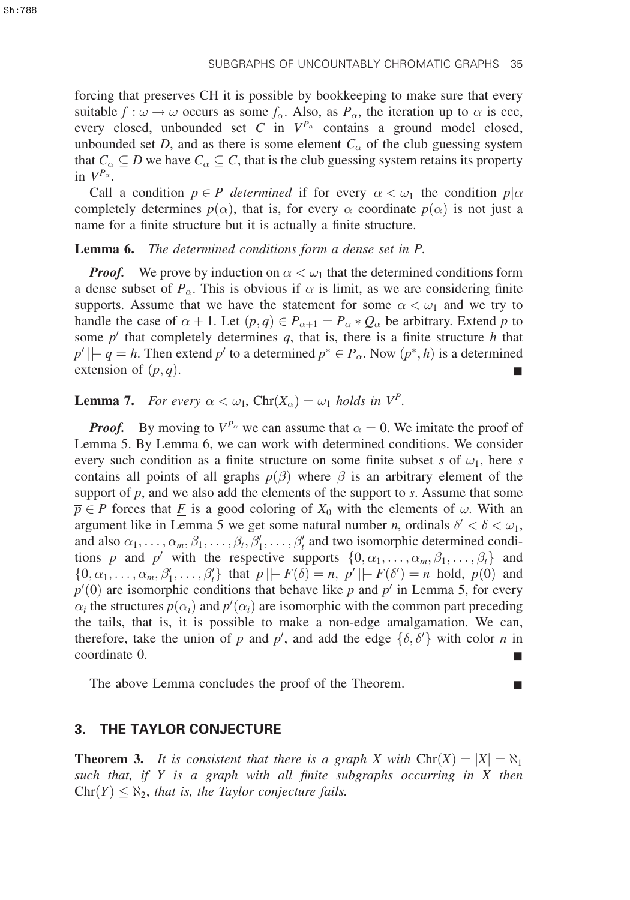forcing that preserves CH it is possible by bookkeeping to make sure that every suitable  $f : \omega \to \omega$  occurs as some  $f_{\alpha}$ . Also, as  $P_{\alpha}$ , the iteration up to  $\alpha$  is ccc, every closed, unbounded set C in  $V^{P_\alpha}$  contains a ground model closed, unbounded set D, and as there is some element  $C_{\alpha}$  of the club guessing system that  $C_{\alpha} \subseteq D$  we have  $C_{\alpha} \subseteq C$ , that is the club guessing system retains its property in  $V^{P_\alpha}$ .

Call a condition  $p \in P$  determined if for every  $\alpha < \omega_1$  the condition  $p|\alpha$ completely determines  $p(\alpha)$ , that is, for every  $\alpha$  coordinate  $p(\alpha)$  is not just a name for a finite structure but it is actually a finite structure.

#### Lemma 6. The determined conditions form a dense set in P.

**Proof.** We prove by induction on  $\alpha < \omega_1$  that the determined conditions form a dense subset of  $P_{\alpha}$ . This is obvious if  $\alpha$  is limit, as we are considering finite supports. Assume that we have the statement for some  $\alpha < \omega_1$  and we try to handle the case of  $\alpha + 1$ . Let  $(p, q) \in P_{\alpha+1} = P_{\alpha} * Q_{\alpha}$  be arbitrary. Extend p to some  $p'$  that completely determines  $q$ , that is, there is a finite structure h that  $p' \rvert \rvert - q = h$ . Then extend p' to a determined  $p^* \rvert P_\alpha$ . Now  $(p^*, h)$  is a determined extension of  $(p, q)$ .

**Lemma 7.** For every  $\alpha < \omega_1$ , Chr $(X_\alpha) = \omega_1$  holds in  $V^P$ .

**Proof.** By moving to  $V^{P_\alpha}$  we can assume that  $\alpha = 0$ . We imitate the proof of Lemma 5. By Lemma 6, we can work with determined conditions. We consider every such condition as a finite structure on some finite subset s of  $\omega_1$ , here s contains all points of all graphs  $p(\beta)$  where  $\beta$  is an arbitrary element of the support of  $p$ , and we also add the elements of the support to  $s$ . Assume that some  $\overline{p} \in P$  forces that  $\underline{F}$  is a good coloring of  $X_0$  with the elements of  $\omega$ . With an argument like in Lemma 5 we get some natural number *n*, ordinals  $\delta' < \delta < \omega_1$ , and also  $\alpha_1, \ldots, \alpha_m, \beta_1, \ldots, \beta_t, \beta'_1, \ldots, \beta'_t$  and two isomorphic determined conditions p and p' with the respective supports  $\{0, \alpha_1, \ldots, \alpha_m, \beta_1, \ldots, \beta_t\}$  and  $\{0, \alpha_1, \ldots, \alpha_m, \beta'_1, \ldots, \beta'_t\}$  that  $p \mid \mid E(\delta) = n$ ,  $p' \mid \mid E(\delta') = n$  hold,  $p(0)$  and  $p'(0)$  are isomorphic conditions that behave like p and p' in Lemma 5, for every  $\alpha_i$  the structures  $p(\alpha_i)$  and  $p'(\alpha_i)$  are isomorphic with the common part preceding the tails, that is, it is possible to make a non-edge amalgamation. We can, therefore, take the union of p and p', and add the edge  $\{\delta, \delta'\}$  with color n in coordinate 0.

The above Lemma concludes the proof of the Theorem.

## 3. THE TAYLOR CONJECTURE

**Theorem 3.** It is consistent that there is a graph X with  $\text{Chr}(X) = |X| = \aleph_1$ such that, if Y is a graph with all finite subgraphs occurring in X then  $\text{Chr}(Y) \leq \aleph_2$ , that is, the Taylor conjecture fails.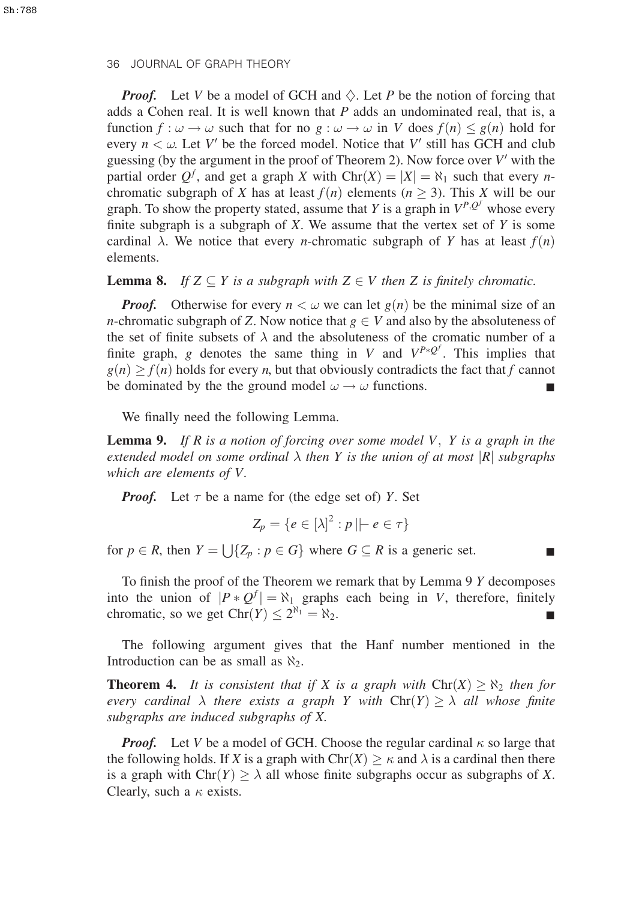**Proof.** Let V be a model of GCH and  $\Diamond$ . Let P be the notion of forcing that adds a Cohen real. It is well known that  $P$  adds an undominated real, that is, a function  $f : \omega \to \omega$  such that for no  $g : \omega \to \omega$  in V does  $f(n) \leq g(n)$  hold for every  $n < \omega$ . Let V' be the forced model. Notice that V' still has GCH and club guessing (by the argument in the proof of Theorem 2). Now force over  $V'$  with the partial order  $Q^f$ , and get a graph X with  $\text{Chr}(X) = |X| = \aleph_1$  such that every *n*chromatic subgraph of X has at least  $f(n)$  elements ( $n \geq 3$ ). This X will be our graph. To show the property stated, assume that Y is a graph in  $V^{P,Q^f}$  whose every finite subgraph is a subgraph of  $X$ . We assume that the vertex set of  $Y$  is some cardinal  $\lambda$ . We notice that every *n*-chromatic subgraph of Y has at least  $f(n)$ elements.

#### **Lemma 8.** If  $Z \subseteq Y$  is a subgraph with  $Z \in V$  then Z is finitely chromatic.

**Proof.** Otherwise for every  $n < \omega$  we can let  $g(n)$  be the minimal size of an *n*-chromatic subgraph of Z. Now notice that  $g \in V$  and also by the absoluteness of the set of finite subsets of  $\lambda$  and the absoluteness of the cromatic number of a finite graph, g denotes the same thing in V and  $V^{P*Q^f}$ . This implies that  $g(n) > f(n)$  holds for every n, but that obviously contradicts the fact that f cannot be dominated by the the ground model  $\omega \rightarrow \omega$  functions.

We finally need the following Lemma.

**Lemma 9.** If R is a notion of forcing over some model V, Y is a graph in the extended model on some ordinal  $\lambda$  then Y is the union of at most |R| subgraphs which are elements of V.

**Proof.** Let  $\tau$  be a name for (the edge set of) Y. Set

$$
Z_p = \{e \in [\lambda]^2 : p \mid e \in \tau\}
$$

for  $p \in R$ , then  $Y = \bigcup \{Z_p : p \in G\}$  where  $G \subseteq R$  is a generic set.

To finish the proof of the Theorem we remark that by Lemma 9 Y decomposes into the union of  $|P * Q^f| = \aleph_1$  graphs each being in V, therefore, finitely chromatic, so we get  $\text{Chr}(Y) \leq 2^{\aleph_1} = \aleph_2$ .

The following argument gives that the Hanf number mentioned in the Introduction can be as small as  $\aleph_2$ .

**Theorem 4.** It is consistent that if X is a graph with  $\text{Chr}(X) \geq \aleph_2$  then for every cardinal  $\lambda$  there exists a graph Y with  $\text{Chr}(Y) \geq \lambda$  all whose finite subgraphs are induced subgraphs of X.

**Proof.** Let V be a model of GCH. Choose the regular cardinal  $\kappa$  so large that the following holds. If X is a graph with  $\text{Chr}(X) \geq \kappa$  and  $\lambda$  is a cardinal then there is a graph with  $\text{Chr}(Y) \ge \lambda$  all whose finite subgraphs occur as subgraphs of X. Clearly, such a  $\kappa$  exists.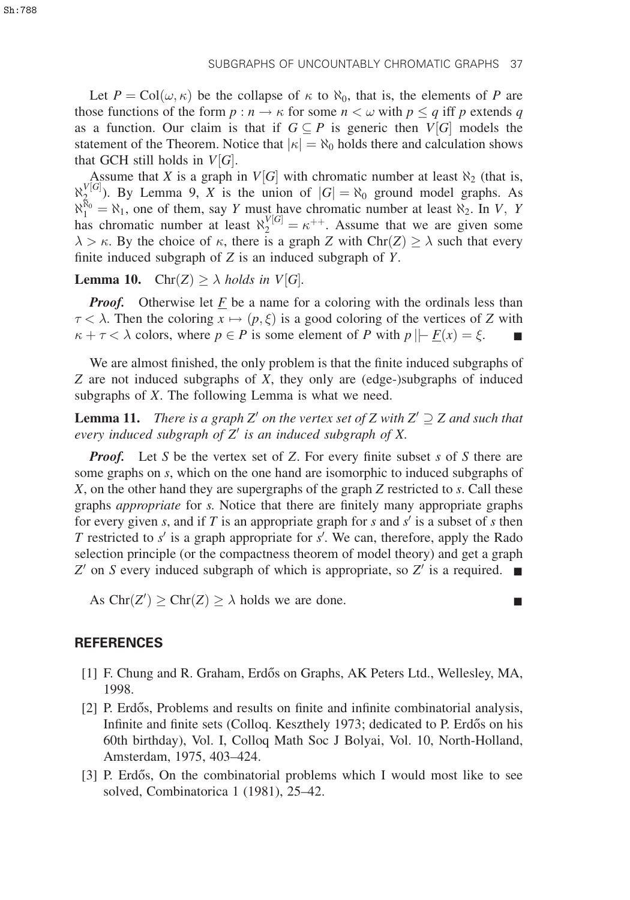Let  $P = \text{Col}(\omega, \kappa)$  be the collapse of  $\kappa$  to  $\aleph_0$ , that is, the elements of P are those functions of the form  $p : n \to \kappa$  for some  $n < \omega$  with  $p \leq q$  iff p extends q as a function. Our claim is that if  $G \subseteq P$  is generic then  $V[G]$  models the statement of the Theorem. Notice that  $|\kappa| = \aleph_0$  holds there and calculation shows that GCH still holds in  $V[G]$ .

Assume that X is a graph in  $V[G]$  with chromatic number at least  $\aleph_2$  (that is,  $\aleph_{\mathcal{R}}^{V[G]}$ ). By Lemma 9, X is the union of  $|G| = \aleph_0$  ground model graphs. As  $\aleph_1^{\aleph_0} = \aleph_1$ , one of them, say Y must have chromatic number at least  $\aleph_2$ . In V, Y has chromatic number at least  $\aleph_2^{\aleph[G]} = \kappa^{++}$ . Assume that we are given some  $\lambda > \kappa$ . By the choice of  $\kappa$ , there is a graph Z with Chr $(Z) \geq \lambda$  such that every finite induced subgraph of  $Z$  is an induced subgraph of  $Y$ .

**Lemma 10.** Chr $(Z) \ge \lambda$  holds in V[G].

**Proof.** Otherwise let F be a name for a coloring with the ordinals less than  $\tau < \lambda$ . Then the coloring  $x \mapsto (p, \xi)$  is a good coloring of the vertices of Z with  $\kappa + \tau < \lambda$  colors, where  $p \in P$  is some element of P with  $p \mid F(x) = \xi$ .

We are almost finished, the only problem is that the finite induced subgraphs of Z are not induced subgraphs of X, they only are (edge-)subgraphs of induced subgraphs of X. The following Lemma is what we need.

**Lemma 11.** There is a graph Z' on the vertex set of Z with  $Z' \supseteq Z$  and such that every induced subgraph of  $Z'$  is an induced subgraph of X.

**Proof.** Let S be the vertex set of Z. For every finite subset s of S there are some graphs on s, which on the one hand are isomorphic to induced subgraphs of X, on the other hand they are supergraphs of the graph Z restricted to s. Call these graphs appropriate for s. Notice that there are finitely many appropriate graphs for every given s, and if T is an appropriate graph for s and  $s'$  is a subset of s then T restricted to  $s'$  is a graph appropriate for  $s'$ . We can, therefore, apply the Rado selection principle (or the compactness theorem of model theory) and get a graph  $Z'$  on S every induced subgraph of which is appropriate, so  $Z'$  is a required.  $\blacksquare$ 

As  $\text{Chr}(Z') \ge \text{Chr}(Z) \ge \lambda$  holds we are done.

#### **REFERENCES**

- [1] F. Chung and R. Graham, Erdős on Graphs, AK Peters Ltd., Wellesley, MA, 1998.
- [2] P. Erdős, Problems and results on finite and infinite combinatorial analysis, Infinite and finite sets (Colloq. Keszthely 1973; dedicated to P. Erdős on his 60th birthday), Vol. I, Colloq Math Soc J Bolyai, Vol. 10, North-Holland, Amsterdam, 1975, 403–424.
- [3] P. Erdős, On the combinatorial problems which I would most like to see solved, Combinatorica 1 (1981), 25–42.